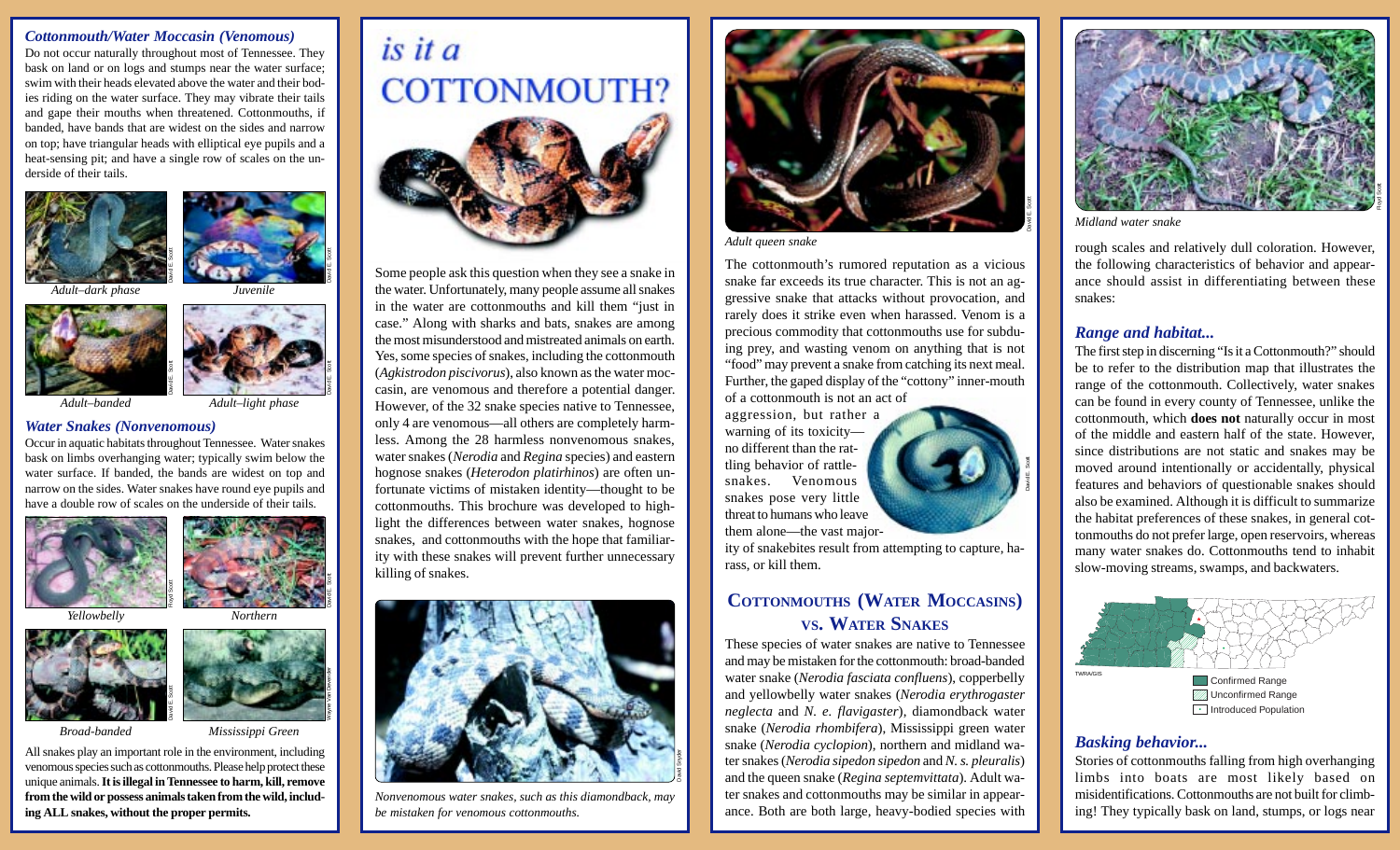#### *Cottonmouth/Water Moccasin (Venomous)*

Do not occur naturally throughout most of Tennessee. They bask on land or on logs and stumps near the water surface; swim with their heads elevated above the water and their bodies riding on the water surface. They may vibrate their tails and gape their mouths when threatened. Cottonmouths, if banded, have bands that are widest on the sides and narrow on top; have triangular heads with elliptical eye pupils and a heat-sensing pit; and have a single row of scales on the underside of their tails.





David E. Scott

David E. Scott

Wayne Van Devender

*Adult–dark phase Juvenile*



*Adult–banded Adult–light phase*

#### *Water Snakes (Nonvenomous)*

Occur in aquatic habitats throughout Tennessee. Water snakes bask on limbs overhanging water; typically swim below the water surface. If banded, the bands are widest on top and narrow on the sides. Water snakes have round eye pupils and have a double row of scales on the underside of their tails. **infinite All snakes**<br> **ing ALL snakes**<br> **ing ALL snakes**<br> **ing ALL snakes**<br> **ing Sovering and the band served proper permits.**<br> **ing Sovering and Sovering Water, the proper permits.**<br> **ing ALL snakes** play an important ro





*Yellowbelly Northern*



David E. Scott

*Broad-banded Mississippi Green*

All snakes play an important role in the environment, including venomous species such as cottonmouths. Please help protect these unique animals. **It is illegal in Tennessee to harm, kill, remove from the wild or possess animals taken from the wild, includ-**



Some people ask this question when they see a snake in the water. Unfortunately, many people assume all snakes in the water are cottonmouths and kill them "just in case." Along with sharks and bats, snakes are among the most misunderstood and mistreated animals on earth. Yes, some species of snakes, including the cottonmouth (*Agkistrodon piscivorus*), also known as the water moccasin, are venomous and therefore a potential danger. However, of the 32 snake species native to Tennessee, only 4 are venomous—all others are completely harmless. Among the 28 harmless nonvenomous snakes, water snakes (*Nerodia* and *Regina* species) and eastern hognose snakes (*Heterodon platirhinos*) are often unfortunate victims of mistaken identity—thought to be cottonmouths. This brochure was developed to highlight the differences between water snakes, hognose snakes, and cottonmouths with the hope that familiarity with these snakes will prevent further unnecessary killing of snakes.



*Nonvenomous water snakes, such as this diamondback, may be mistaken for venomous cottonmouths.*



*Adult queen snake*

The cottonmouth's rumored reputation as a vicious snake far exceeds its true character. This is not an aggressive snake that attacks without provocation, and rarely does it strike even when harassed. Venom is a precious commodity that cottonmouths use for subduing prey, and wasting venom on anything that is not "food" may prevent a snake from catching its next meal. Further, the gaped display of the "cottony" inner-mouth of a cottonmouth is not an act of

aggression, but rather a warning of its toxicity no different than the rattling behavior of rattlesnakes. Venomous snakes pose very little threat to humans who leave them alone—the vast major-

ity of snakebites result from attempting to capture, harass, or kill them.

# **COTTONMOUTHS (WATER MOCCASINS) VS. WATER SNAKES**

These species of water snakes are native to Tennessee and may be mistaken for the cottonmouth: broad-banded water snake (*Nerodia fasciata confluens*), copperbelly and yellowbelly water snakes (*Nerodia erythrogaster neglecta* and *N. e. flavigaster*), diamondback water snake (*Nerodia rhombifera*), Mississippi green water snake (*Nerodia cyclopion*), northern and midland water snakes (*Nerodia sipedon sipedon* and *N. s. pleuralis*) and the queen snake (*Regina septemvittata*). Adult water snakes and cottonmouths may be similar in appearance. Both are both large, heavy-bodied species with



*Midland water snake*

rough scales and relatively dull coloration. However, the following characteristics of behavior and appearance should assist in differentiating between these snakes:

#### *Range and habitat...*

David E. Scott

The first step in discerning "Is it a Cottonmouth?" should be to refer to the distribution map that illustrates the range of the cottonmouth. Collectively, water snakes can be found in every county of Tennessee, unlike the cottonmouth, which **does not** naturally occur in most of the middle and eastern half of the state. However, since distributions are not static and snakes may be moved around intentionally or accidentally, physical features and behaviors of questionable snakes should also be examined. Although it is difficult to summarize the habitat preferences of these snakes, in general cottonmouths do not prefer large, open reservoirs, whereas many water snakes do. Cottonmouths tend to inhabit slow-moving streams, swamps, and backwaters.



#### *Basking behavior...*

Stories of cottonmouths falling from high overhanging limbs into boats are most likely based on misidentifications. Cottonmouths are not built for climbing! They typically bask on land, stumps, or logs near